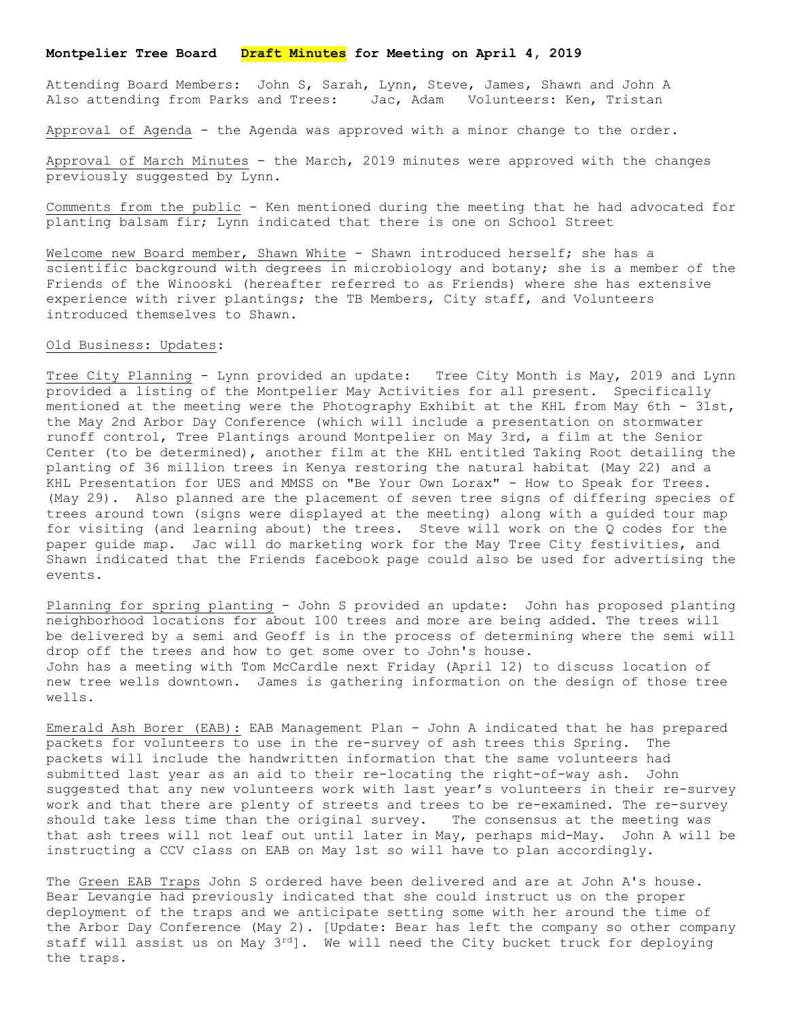## **Montpelier Tree Board Draft Minutes for Meeting on April 4, 2019**

Attending Board Members: John S, Sarah, Lynn, Steve, James, Shawn and John A Also attending from Parks and Trees: Jac, Adam Volunteers: Ken, Tristan

Approval of Agenda - the Agenda was approved with a minor change to the order.

Approval of March Minutes - the March, 2019 minutes were approved with the changes previously suggested by Lynn.

Comments from the public - Ken mentioned during the meeting that he had advocated for planting balsam fir; Lynn indicated that there is one on School Street

Welcome new Board member, Shawn White - Shawn introduced herself; she has a scientific background with degrees in microbiology and botany; she is a member of the Friends of the Winooski (hereafter referred to as Friends) where she has extensive experience with river plantings; the TB Members, City staff, and Volunteers introduced themselves to Shawn.

## Old Business: Updates:

Tree City Planning - Lynn provided an update: Tree City Month is May, 2019 and Lynn provided a listing of the Montpelier May Activities for all present. Specifically mentioned at the meeting were the Photography Exhibit at the KHL from May 6th - 31st, the May 2nd Arbor Day Conference (which will include a presentation on stormwater runoff control, Tree Plantings around Montpelier on May 3rd, a film at the Senior Center (to be determined), another film at the KHL entitled Taking Root detailing the planting of 36 million trees in Kenya restoring the natural habitat (May 22) and a KHL Presentation for UES and MMSS on "Be Your Own Lorax" - How to Speak for Trees. (May 29). Also planned are the placement of seven tree signs of differing species of trees around town (signs were displayed at the meeting) along with a guided tour map for visiting (and learning about) the trees. Steve will work on the Q codes for the paper guide map. Jac will do marketing work for the May Tree City festivities, and Shawn indicated that the Friends facebook page could also be used for advertising the events.

Planning for spring planting - John S provided an update: John has proposed planting neighborhood locations for about 100 trees and more are being added. The trees will be delivered by a semi and Geoff is in the process of determining where the semi will drop off the trees and how to get some over to John's house. John has a meeting with Tom McCardle next Friday (April 12) to discuss location of new tree wells downtown. James is gathering information on the design of those tree wells.

Emerald Ash Borer (EAB): EAB Management Plan - John A indicated that he has prepared packets for volunteers to use in the re-survey of ash trees this Spring. The packets will include the handwritten information that the same volunteers had submitted last year as an aid to their re-locating the right-of-way ash. John suggested that any new volunteers work with last year's volunteers in their re-survey work and that there are plenty of streets and trees to be re-examined. The re-survey should take less time than the original survey. The consensus at the meeting was that ash trees will not leaf out until later in May, perhaps mid-May. John A will be instructing a CCV class on EAB on May 1st so will have to plan accordingly.

The Green EAB Traps John S ordered have been delivered and are at John A's house. Bear Levangie had previously indicated that she could instruct us on the proper deployment of the traps and we anticipate setting some with her around the time of the Arbor Day Conference (May 2). [Update: Bear has left the company so other company staff will assist us on May  $3^{rd}$ . We will need the City bucket truck for deploying the traps.